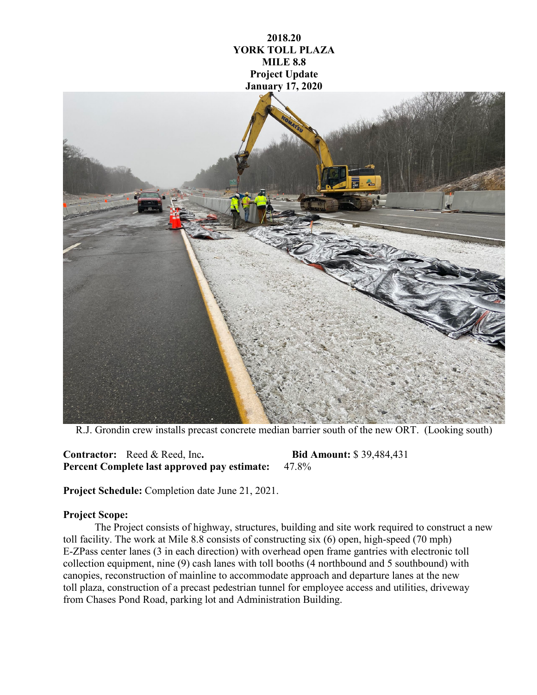

**2018.20**

R.J. Grondin crew installs precast concrete median barrier south of the new ORT. (Looking south)

**Contractor:** Reed & Reed, Inc**. Bid Amount:** \$ 39,484,431 **Percent Complete last approved pay estimate:** 47.8%

**Project Schedule:** Completion date June 21, 2021.

## **Project Scope:**

The Project consists of highway, structures, building and site work required to construct a new toll facility. The work at Mile 8.8 consists of constructing six (6) open, high-speed (70 mph) E-ZPass center lanes (3 in each direction) with overhead open frame gantries with electronic toll collection equipment, nine (9) cash lanes with toll booths (4 northbound and 5 southbound) with canopies, reconstruction of mainline to accommodate approach and departure lanes at the new toll plaza, construction of a precast pedestrian tunnel for employee access and utilities, driveway from Chases Pond Road, parking lot and Administration Building.